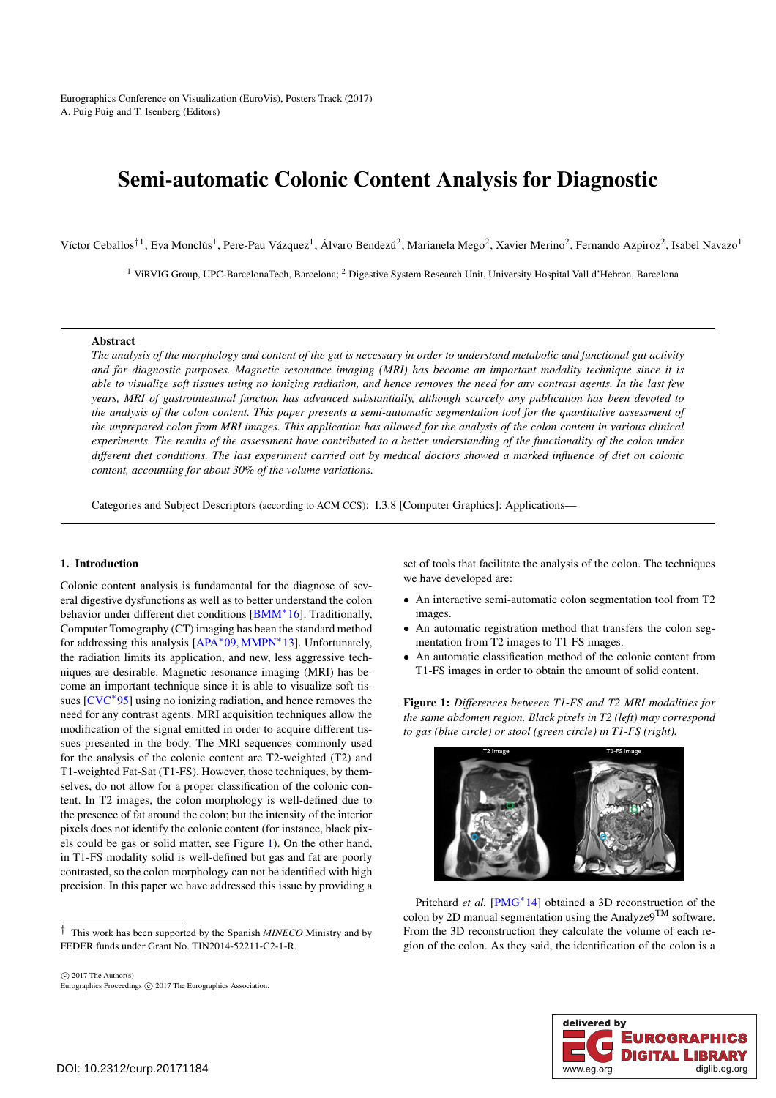<span id="page-0-1"></span>Eurographics Conference on Visualization (EuroVis), Posters Track (2017) A. Puig Puig and T. Isenberg (Editors)

# Semi-automatic Colonic Content Analysis for Diagnostic

Víctor Ceballos<sup>†1</sup>, Eva Monclús<sup>1</sup>, Pere-Pau Vázquez<sup>1</sup>, Álvaro Bendezú<sup>2</sup>, Marianela Mego<sup>2</sup>, Xavier Merino<sup>2</sup>, Fernando Azpiroz<sup>2</sup>, Isabel Navazo<sup>1</sup>

<sup>1</sup> ViRVIG Group, UPC-BarcelonaTech, Barcelona; <sup>2</sup> Digestive System Research Unit, University Hospital Vall d'Hebron, Barcelona

# Abstract

*The analysis of the morphology and content of the gut is necessary in order to understand metabolic and functional gut activity and for diagnostic purposes. Magnetic resonance imaging (MRI) has become an important modality technique since it is able to visualize soft tissues using no ionizing radiation, and hence removes the need for any contrast agents. In the last few years, MRI of gastrointestinal function has advanced substantially, although scarcely any publication has been devoted to the analysis of the colon content. This paper presents a semi-automatic segmentation tool for the quantitative assessment of the unprepared colon from MRI images. This application has allowed for the analysis of the colon content in various clinical experiments. The results of the assessment have contributed to a better understanding of the functionality of the colon under different diet conditions. The last experiment carried out by medical doctors showed a marked influence of diet on colonic content, accounting for about 30% of the volume variations.*

Categories and Subject Descriptors (according to ACM CCS): I.3.8 [Computer Graphics]: Applications—

## 1. Introduction

Colonic content analysis is fundamental for the diagnose of several digestive dysfunctions as well as to better understand the colon behavior under different diet conditions [\[BMM](#page-2-0)∗16]. Traditionally, Computer Tomography (CT) imaging has been the standard method for addressing this analysis [\[APA](#page-2-1)∗09, [MMPN](#page-2-2)∗13]. Unfortunately, the radiation limits its application, and new, less aggressive techniques are desirable. Magnetic resonance imaging (MRI) has become an important technique since it is able to visualize soft tis-sues [\[CVC](#page-2-3)<sup>∗</sup>95] using no ionizing radiation, and hence removes the need for any contrast agents. MRI acquisition techniques allow the modification of the signal emitted in order to acquire different tissues presented in the body. The MRI sequences commonly used for the analysis of the colonic content are T2-weighted (T2) and T1-weighted Fat-Sat (T1-FS). However, those techniques, by themselves, do not allow for a proper classification of the colonic content. In T2 images, the colon morphology is well-defined due to the presence of fat around the colon; but the intensity of the interior pixels does not identify the colonic content (for instance, black pixels could be gas or solid matter, see Figure [1\)](#page-0-0). On the other hand, in T1-FS modality solid is well-defined but gas and fat are poorly contrasted, so the colon morphology can not be identified with high precision. In this paper we have addressed this issue by providing a

 $\odot$  2017 The Author(s) Eurographics Proceedings (c) 2017 The Eurographics Association. set of tools that facilitate the analysis of the colon. The techniques we have developed are:

- An interactive semi-automatic colon segmentation tool from T2 images.
- An automatic registration method that transfers the colon segmentation from T2 images to T1-FS images.
- An automatic classification method of the colonic content from T1-FS images in order to obtain the amount of solid content.

<span id="page-0-0"></span>Figure 1: *Differences between T1-FS and T2 MRI modalities for the same abdomen region. Black pixels in T2 (left) may correspond to gas (blue circle) or stool (green circle) in T1-FS (right).*



Pritchard *et al.* [\[PMG](#page-2-4)<sup>\*</sup>14] obtained a 3D reconstruction of the colon by 2D manual segmentation using the Analyze $9^{TM}$  software. From the 3D reconstruction they calculate the volume of each region of the colon. As they said, the identification of the colon is a



<sup>†</sup> This work has been supported by the Spanish *MINECO* Ministry and by FEDER funds under Grant No. TIN2014-52211-C2-1-R.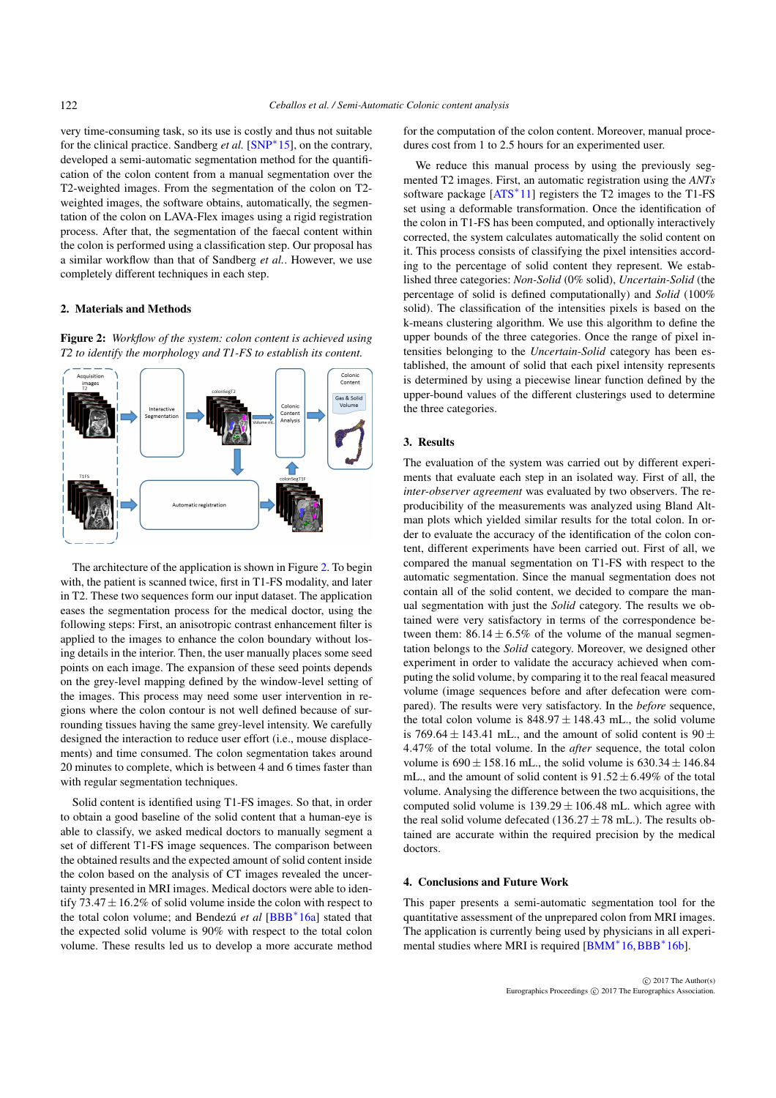<span id="page-1-1"></span>very time-consuming task, so its use is costly and thus not suitable for the clinical practice. Sandberg *et al.* [\[SNP](#page-2-5)∗15], on the contrary, developed a semi-automatic segmentation method for the quantification of the colon content from a manual segmentation over the T2-weighted images. From the segmentation of the colon on T2 weighted images, the software obtains, automatically, the segmentation of the colon on LAVA-Flex images using a rigid registration process. After that, the segmentation of the faecal content within the colon is performed using a classification step. Our proposal has a similar workflow than that of Sandberg *et al.*. However, we use completely different techniques in each step.

# <span id="page-1-0"></span>2. Materials and Methods

Figure 2: *Workflow of the system: colon content is achieved using T2 to identify the morphology and T1-FS to establish its content.*



The architecture of the application is shown in Figure [2.](#page-1-0) To begin with, the patient is scanned twice, first in T1-FS modality, and later in T2. These two sequences form our input dataset. The application eases the segmentation process for the medical doctor, using the following steps: First, an anisotropic contrast enhancement filter is applied to the images to enhance the colon boundary without losing details in the interior. Then, the user manually places some seed points on each image. The expansion of these seed points depends on the grey-level mapping defined by the window-level setting of the images. This process may need some user intervention in regions where the colon contour is not well defined because of surrounding tissues having the same grey-level intensity. We carefully designed the interaction to reduce user effort (i.e., mouse displacements) and time consumed. The colon segmentation takes around 20 minutes to complete, which is between 4 and 6 times faster than with regular segmentation techniques.

Solid content is identified using T1-FS images. So that, in order to obtain a good baseline of the solid content that a human-eye is able to classify, we asked medical doctors to manually segment a set of different T1-FS image sequences. The comparison between the obtained results and the expected amount of solid content inside the colon based on the analysis of CT images revealed the uncertainty presented in MRI images. Medical doctors were able to identify  $73.47 \pm 16.2\%$  of solid volume inside the colon with respect to the total colon volume; and Bendezú *et al* [\[BBB](#page-2-6)∗16a] stated that the expected solid volume is 90% with respect to the total colon volume. These results led us to develop a more accurate method for the computation of the colon content. Moreover, manual procedures cost from 1 to 2.5 hours for an experimented user.

We reduce this manual process by using the previously segmented T2 images. First, an automatic registration using the *ANTs* software package  $[ATS^*11]$  $[ATS^*11]$  registers the T2 images to the T1-FS set using a deformable transformation. Once the identification of the colon in T1-FS has been computed, and optionally interactively corrected, the system calculates automatically the solid content on it. This process consists of classifying the pixel intensities according to the percentage of solid content they represent. We established three categories: *Non-Solid* (0% solid), *Uncertain-Solid* (the percentage of solid is defined computationally) and *Solid* (100% solid). The classification of the intensities pixels is based on the k-means clustering algorithm. We use this algorithm to define the upper bounds of the three categories. Once the range of pixel intensities belonging to the *Uncertain-Solid* category has been established, the amount of solid that each pixel intensity represents is determined by using a piecewise linear function defined by the upper-bound values of the different clusterings used to determine the three categories.

## 3. Results

The evaluation of the system was carried out by different experiments that evaluate each step in an isolated way. First of all, the *inter-observer agreement* was evaluated by two observers. The reproducibility of the measurements was analyzed using Bland Altman plots which yielded similar results for the total colon. In order to evaluate the accuracy of the identification of the colon content, different experiments have been carried out. First of all, we compared the manual segmentation on T1-FS with respect to the automatic segmentation. Since the manual segmentation does not contain all of the solid content, we decided to compare the manual segmentation with just the *Solid* category. The results we obtained were very satisfactory in terms of the correspondence between them:  $86.14 \pm 6.5\%$  of the volume of the manual segmentation belongs to the *Solid* category. Moreover, we designed other experiment in order to validate the accuracy achieved when computing the solid volume, by comparing it to the real feacal measured volume (image sequences before and after defecation were compared). The results were very satisfactory. In the *before* sequence, the total colon volume is  $848.97 \pm 148.43$  mL, the solid volume is 769.64  $\pm$  143.41 mL., and the amount of solid content is 90  $\pm$ 4.47% of the total volume. In the *after* sequence, the total colon volume is  $690 \pm 158.16$  mL, the solid volume is  $630.34 \pm 146.84$ mL., and the amount of solid content is  $91.52 \pm 6.49\%$  of the total volume. Analysing the difference between the two acquisitions, the computed solid volume is  $139.29 \pm 106.48$  mL. which agree with the real solid volume defecated (136.27 $\pm$  78 mL.). The results obtained are accurate within the required precision by the medical doctors.

### 4. Conclusions and Future Work

This paper presents a semi-automatic segmentation tool for the quantitative assessment of the unprepared colon from MRI images. The application is currently being used by physicians in all experi-mental studies where MRI is required [\[BMM](#page-2-0)<sup>∗</sup>16, [BBB](#page-2-8)<sup>∗</sup>16b].